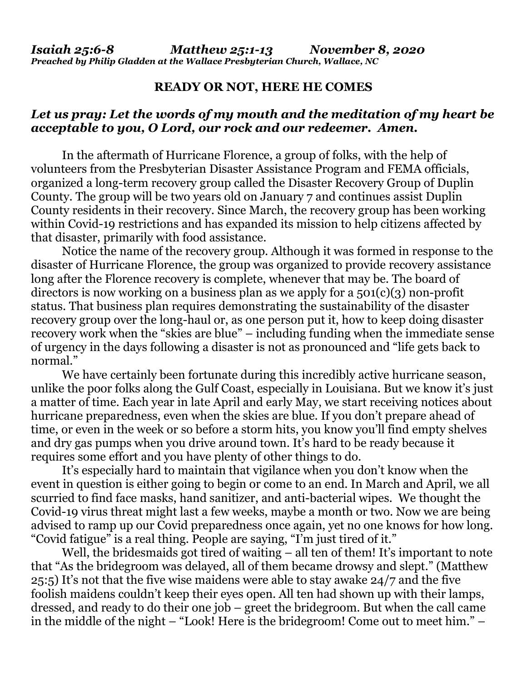## **READY OR NOT, HERE HE COMES**

## *Let us pray: Let the words of my mouth and the meditation of my heart be acceptable to you, O Lord, our rock and our redeemer. Amen.*

In the aftermath of Hurricane Florence, a group of folks, with the help of volunteers from the Presbyterian Disaster Assistance Program and FEMA officials, organized a long-term recovery group called the Disaster Recovery Group of Duplin County. The group will be two years old on January 7 and continues assist Duplin County residents in their recovery. Since March, the recovery group has been working within Covid-19 restrictions and has expanded its mission to help citizens affected by that disaster, primarily with food assistance.

Notice the name of the recovery group. Although it was formed in response to the disaster of Hurricane Florence, the group was organized to provide recovery assistance long after the Florence recovery is complete, whenever that may be. The board of directors is now working on a business plan as we apply for a  $501(c)(3)$  non-profit status. That business plan requires demonstrating the sustainability of the disaster recovery group over the long-haul or, as one person put it, how to keep doing disaster recovery work when the "skies are blue" – including funding when the immediate sense of urgency in the days following a disaster is not as pronounced and "life gets back to normal."

We have certainly been fortunate during this incredibly active hurricane season, unlike the poor folks along the Gulf Coast, especially in Louisiana. But we know it's just a matter of time. Each year in late April and early May, we start receiving notices about hurricane preparedness, even when the skies are blue. If you don't prepare ahead of time, or even in the week or so before a storm hits, you know you'll find empty shelves and dry gas pumps when you drive around town. It's hard to be ready because it requires some effort and you have plenty of other things to do.

It's especially hard to maintain that vigilance when you don't know when the event in question is either going to begin or come to an end. In March and April, we all scurried to find face masks, hand sanitizer, and anti-bacterial wipes. We thought the Covid-19 virus threat might last a few weeks, maybe a month or two. Now we are being advised to ramp up our Covid preparedness once again, yet no one knows for how long. "Covid fatigue" is a real thing. People are saying, "I'm just tired of it."

Well, the bridesmaids got tired of waiting – all ten of them! It's important to note that "As the bridegroom was delayed, all of them became drowsy and slept." (Matthew 25:5) It's not that the five wise maidens were able to stay awake 24/7 and the five foolish maidens couldn't keep their eyes open. All ten had shown up with their lamps, dressed, and ready to do their one job – greet the bridegroom. But when the call came in the middle of the night – "Look! Here is the bridegroom! Come out to meet him." –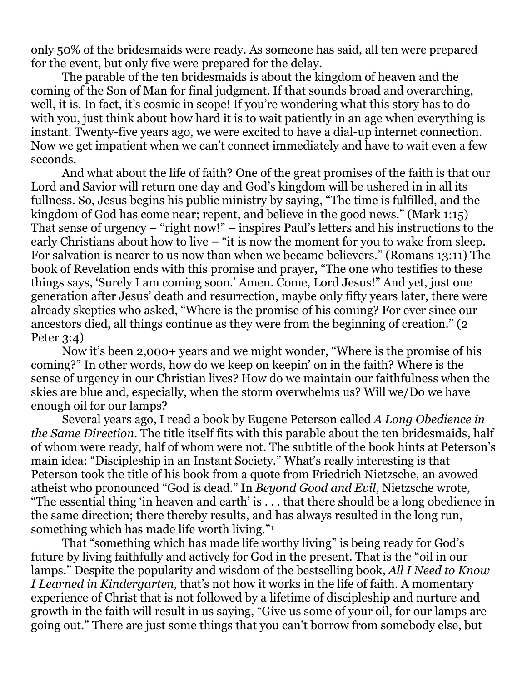only 50% of the bridesmaids were ready. As someone has said, all ten were prepared for the event, but only five were prepared for the delay.

The parable of the ten bridesmaids is about the kingdom of heaven and the coming of the Son of Man for final judgment. If that sounds broad and overarching, well, it is. In fact, it's cosmic in scope! If you're wondering what this story has to do with you, just think about how hard it is to wait patiently in an age when everything is instant. Twenty-five years ago, we were excited to have a dial-up internet connection. Now we get impatient when we can't connect immediately and have to wait even a few seconds.

And what about the life of faith? One of the great promises of the faith is that our Lord and Savior will return one day and God's kingdom will be ushered in in all its fullness. So, Jesus begins his public ministry by saying, "The time is fulfilled, and the kingdom of God has come near; repent, and believe in the good news." (Mark 1:15) That sense of urgency – "right now!" – inspires Paul's letters and his instructions to the early Christians about how to live – "it is now the moment for you to wake from sleep. For salvation is nearer to us now than when we became believers." (Romans 13:11) The book of Revelation ends with this promise and prayer, "The one who testifies to these things says, 'Surely I am coming soon.' Amen. Come, Lord Jesus!" And yet, just one generation after Jesus' death and resurrection, maybe only fifty years later, there were already skeptics who asked, "Where is the promise of his coming? For ever since our ancestors died, all things continue as they were from the beginning of creation." (2 Peter 3:4)

Now it's been 2,000+ years and we might wonder, "Where is the promise of his coming?" In other words, how do we keep on keepin' on in the faith? Where is the sense of urgency in our Christian lives? How do we maintain our faithfulness when the skies are blue and, especially, when the storm overwhelms us? Will we/Do we have enough oil for our lamps?

Several years ago, I read a book by Eugene Peterson called *A Long Obedience in the Same Direction*. The title itself fits with this parable about the ten bridesmaids, half of whom were ready, half of whom were not. The subtitle of the book hints at Peterson's main idea: "Discipleship in an Instant Society." What's really interesting is that Peterson took the title of his book from a quote from Friedrich Nietzsche, an avowed atheist who pronounced "God is dead." In *Beyond Good and Evil*, Nietzsche wrote, "The essential thing 'in heaven and earth' is . . . that there should be a long obedience in the same direction; there thereby results, and has always resulted in the long run, something which has made life worth living."<sup>1</sup>

That "something which has made life worthy living" is being ready for God's future by living faithfully and actively for God in the present. That is the "oil in our lamps." Despite the popularity and wisdom of the bestselling book, *All I Need to Know I Learned in Kindergarten*, that's not how it works in the life of faith. A momentary experience of Christ that is not followed by a lifetime of discipleship and nurture and growth in the faith will result in us saying, "Give us some of your oil, for our lamps are going out." There are just some things that you can't borrow from somebody else, but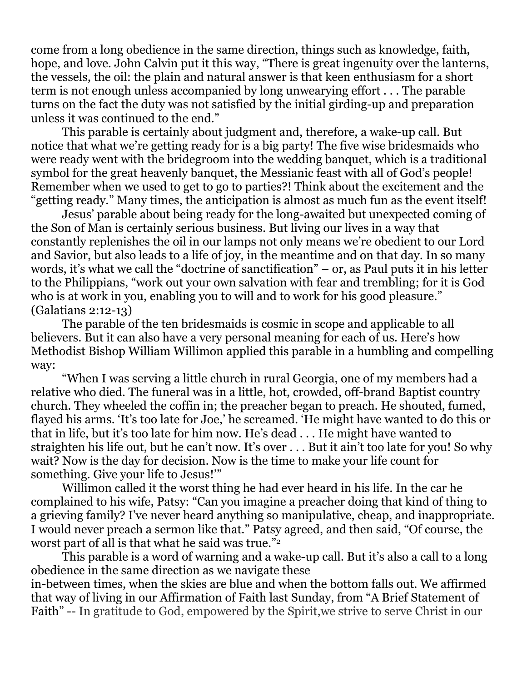come from a long obedience in the same direction, things such as knowledge, faith, hope, and love. John Calvin put it this way, "There is great ingenuity over the lanterns, the vessels, the oil: the plain and natural answer is that keen enthusiasm for a short term is not enough unless accompanied by long unwearying effort . . . The parable turns on the fact the duty was not satisfied by the initial girding-up and preparation unless it was continued to the end."

This parable is certainly about judgment and, therefore, a wake-up call. But notice that what we're getting ready for is a big party! The five wise bridesmaids who were ready went with the bridegroom into the wedding banquet, which is a traditional symbol for the great heavenly banquet, the Messianic feast with all of God's people! Remember when we used to get to go to parties?! Think about the excitement and the "getting ready." Many times, the anticipation is almost as much fun as the event itself!

Jesus' parable about being ready for the long-awaited but unexpected coming of the Son of Man is certainly serious business. But living our lives in a way that constantly replenishes the oil in our lamps not only means we're obedient to our Lord and Savior, but also leads to a life of joy, in the meantime and on that day. In so many words, it's what we call the "doctrine of sanctification" – or, as Paul puts it in his letter to the Philippians, "work out your own salvation with fear and trembling; for it is God who is at work in you, enabling you to will and to work for his good pleasure." (Galatians 2:12-13)

The parable of the ten bridesmaids is cosmic in scope and applicable to all believers. But it can also have a very personal meaning for each of us. Here's how Methodist Bishop William Willimon applied this parable in a humbling and compelling way:

"When I was serving a little church in rural Georgia, one of my members had a relative who died. The funeral was in a little, hot, crowded, off-brand Baptist country church. They wheeled the coffin in; the preacher began to preach. He shouted, fumed, flayed his arms. 'It's too late for Joe,' he screamed. 'He might have wanted to do this or that in life, but it's too late for him now. He's dead . . . He might have wanted to straighten his life out, but he can't now. It's over . . . But it ain't too late for you! So why wait? Now is the day for decision. Now is the time to make your life count for something. Give your life to Jesus!'"

Willimon called it the worst thing he had ever heard in his life. In the car he complained to his wife, Patsy: "Can you imagine a preacher doing that kind of thing to a grieving family? I've never heard anything so manipulative, cheap, and inappropriate. I would never preach a sermon like that." Patsy agreed, and then said, "Of course, the worst part of all is that what he said was true."2

This parable is a word of warning and a wake-up call. But it's also a call to a long obedience in the same direction as we navigate these in-between times, when the skies are blue and when the bottom falls out. We affirmed that way of living in our Affirmation of Faith last Sunday, from "A Brief Statement of Faith" -- In gratitude to God, empowered by the Spirit,we strive to serve Christ in our